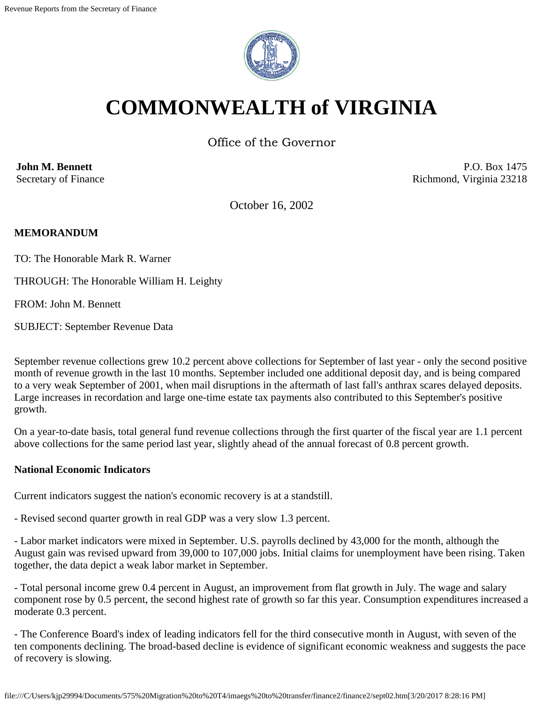

# **COMMONWEALTH of VIRGINIA**

Office of the Governor

**John M. Bennett** Secretary of Finance

P.O. Box 1475 Richmond, Virginia 23218

October 16, 2002

### **MEMORANDUM**

TO: The Honorable Mark R. Warner

THROUGH: The Honorable William H. Leighty

FROM: John M. Bennett

SUBJECT: September Revenue Data

September revenue collections grew 10.2 percent above collections for September of last year - only the second positive month of revenue growth in the last 10 months. September included one additional deposit day, and is being compared to a very weak September of 2001, when mail disruptions in the aftermath of last fall's anthrax scares delayed deposits. Large increases in recordation and large one-time estate tax payments also contributed to this September's positive growth.

On a year-to-date basis, total general fund revenue collections through the first quarter of the fiscal year are 1.1 percent above collections for the same period last year, slightly ahead of the annual forecast of 0.8 percent growth.

#### **National Economic Indicators**

Current indicators suggest the nation's economic recovery is at a standstill.

- Revised second quarter growth in real GDP was a very slow 1.3 percent.

- Labor market indicators were mixed in September. U.S. payrolls declined by 43,000 for the month, although the August gain was revised upward from 39,000 to 107,000 jobs. Initial claims for unemployment have been rising. Taken together, the data depict a weak labor market in September.

- Total personal income grew 0.4 percent in August, an improvement from flat growth in July. The wage and salary component rose by 0.5 percent, the second highest rate of growth so far this year. Consumption expenditures increased a moderate 0.3 percent.

- The Conference Board's index of leading indicators fell for the third consecutive month in August, with seven of the ten components declining. The broad-based decline is evidence of significant economic weakness and suggests the pace of recovery is slowing.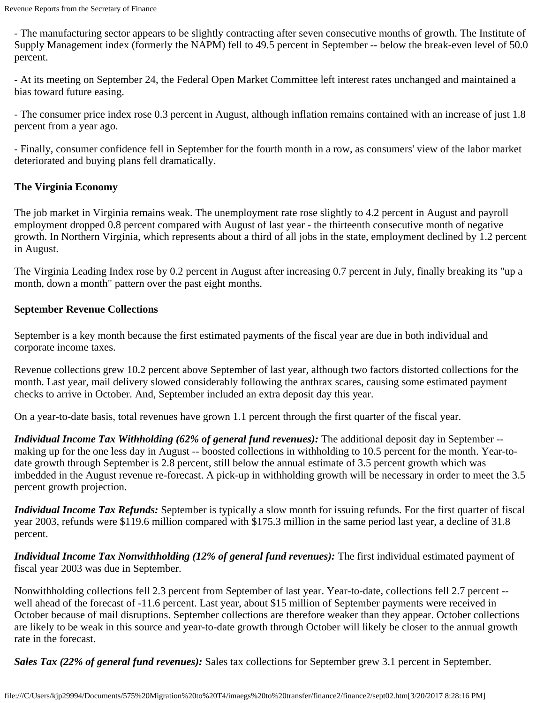- The manufacturing sector appears to be slightly contracting after seven consecutive months of growth. The Institute of Supply Management index (formerly the NAPM) fell to 49.5 percent in September -- below the break-even level of 50.0 percent.

- At its meeting on September 24, the Federal Open Market Committee left interest rates unchanged and maintained a bias toward future easing.

- The consumer price index rose 0.3 percent in August, although inflation remains contained with an increase of just 1.8 percent from a year ago.

- Finally, consumer confidence fell in September for the fourth month in a row, as consumers' view of the labor market deteriorated and buying plans fell dramatically.

### **The Virginia Economy**

The job market in Virginia remains weak. The unemployment rate rose slightly to 4.2 percent in August and payroll employment dropped 0.8 percent compared with August of last year - the thirteenth consecutive month of negative growth. In Northern Virginia, which represents about a third of all jobs in the state, employment declined by 1.2 percent in August.

The Virginia Leading Index rose by 0.2 percent in August after increasing 0.7 percent in July, finally breaking its "up a month, down a month" pattern over the past eight months.

### **September Revenue Collections**

September is a key month because the first estimated payments of the fiscal year are due in both individual and corporate income taxes.

Revenue collections grew 10.2 percent above September of last year, although two factors distorted collections for the month. Last year, mail delivery slowed considerably following the anthrax scares, causing some estimated payment checks to arrive in October. And, September included an extra deposit day this year.

On a year-to-date basis, total revenues have grown 1.1 percent through the first quarter of the fiscal year.

*Individual Income Tax Withholding (62% of general fund revenues):* The additional deposit day in September - making up for the one less day in August -- boosted collections in withholding to 10.5 percent for the month. Year-todate growth through September is 2.8 percent, still below the annual estimate of 3.5 percent growth which was imbedded in the August revenue re-forecast. A pick-up in withholding growth will be necessary in order to meet the 3.5 percent growth projection.

*Individual Income Tax Refunds:* September is typically a slow month for issuing refunds. For the first quarter of fiscal year 2003, refunds were \$119.6 million compared with \$175.3 million in the same period last year, a decline of 31.8 percent.

*Individual Income Tax Nonwithholding (12% of general fund revenues):* The first individual estimated payment of fiscal year 2003 was due in September.

Nonwithholding collections fell 2.3 percent from September of last year. Year-to-date, collections fell 2.7 percent - well ahead of the forecast of -11.6 percent. Last year, about \$15 million of September payments were received in October because of mail disruptions. September collections are therefore weaker than they appear. October collections are likely to be weak in this source and year-to-date growth through October will likely be closer to the annual growth rate in the forecast.

*Sales Tax (22% of general fund revenues):* Sales tax collections for September grew 3.1 percent in September.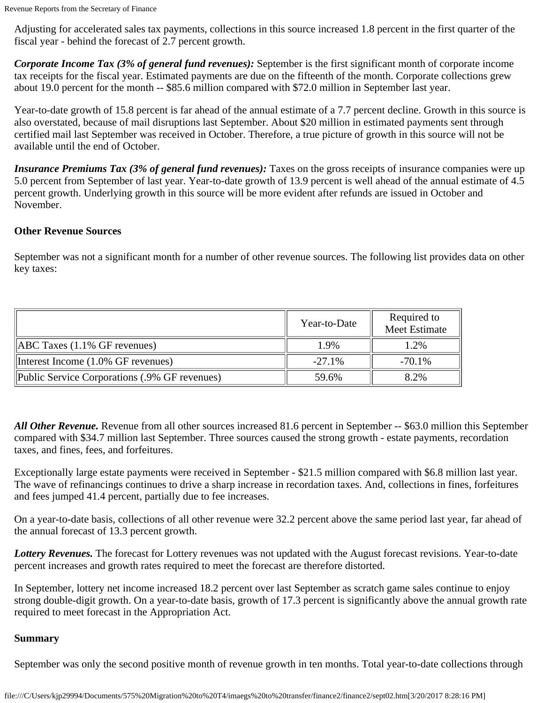Adjusting for accelerated sales tax payments, collections in this source increased 1.8 percent in the first quarter of the fiscal year - behind the forecast of 2.7 percent growth.

*Corporate Income Tax (3% of general fund revenues):* September is the first significant month of corporate income tax receipts for the fiscal year. Estimated payments are due on the fifteenth of the month. Corporate collections grew about 19.0 percent for the month -- \$85.6 million compared with \$72.0 million in September last year.

Year-to-date growth of 15.8 percent is far ahead of the annual estimate of a 7.7 percent decline. Growth in this source is also overstated, because of mail disruptions last September. About \$20 million in estimated payments sent through certified mail last September was received in October. Therefore, a true picture of growth in this source will not be available until the end of October.

*Insurance Premiums Tax (3% of general fund revenues)*: Taxes on the gross receipts of insurance companies were up 5.0 percent from September of last year. Year-to-date growth of 13.9 percent is well ahead of the annual estimate of 4.5 percent growth. Underlying growth in this source will be more evident after refunds are issued in October and November.

## **Other Revenue Sources**

September was not a significant month for a number of other revenue sources. The following list provides data on other key taxes:

|                                               | Year-to-Date | Required to<br>Meet Estimate |
|-----------------------------------------------|--------------|------------------------------|
| $[ABC$ Taxes $(1.1\%$ GF revenues)            | 1.9%         | 1.2%                         |
| Interest Income (1.0% GF revenues)            | $-27.1\%$    | $-70.1\%$                    |
| Public Service Corporations (.9% GF revenues) | 59.6%        | 8.2%                         |

*All Other Revenue.* Revenue from all other sources increased 81.6 percent in September -- \$63.0 million this September compared with \$34.7 million last September. Three sources caused the strong growth - estate payments, recordation taxes, and fines, fees, and forfeitures.

Exceptionally large estate payments were received in September - \$21.5 million compared with \$6.8 million last year. The wave of refinancings continues to drive a sharp increase in recordation taxes. And, collections in fines, forfeitures and fees jumped 41.4 percent, partially due to fee increases.

On a year-to-date basis, collections of all other revenue were 32.2 percent above the same period last year, far ahead of the annual forecast of 13.3 percent growth.

*Lottery Revenues.* The forecast for Lottery revenues was not updated with the August forecast revisions. Year-to-date percent increases and growth rates required to meet the forecast are therefore distorted.

In September, lottery net income increased 18.2 percent over last September as scratch game sales continue to enjoy strong double-digit growth. On a year-to-date basis, growth of 17.3 percent is significantly above the annual growth rate required to meet forecast in the Appropriation Act.

#### **Summary**

September was only the second positive month of revenue growth in ten months. Total year-to-date collections through